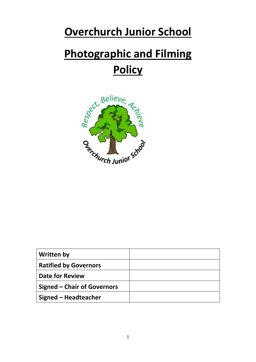# **Overchurch Junior School**

# **Photographic and Filming Policy**



| <b>Written by</b>                  |  |
|------------------------------------|--|
| <b>Ratified by Governors</b>       |  |
| <b>Date for Review</b>             |  |
| <b>Signed – Chair of Governors</b> |  |
| <b>Signed - Headteacher</b>        |  |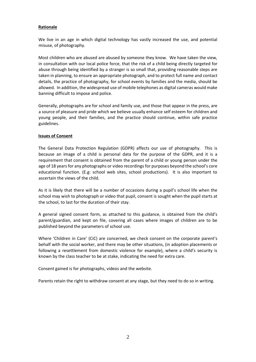# **Rationale**

We live in an age in which digital technology has vastly increased the use, and potential misuse, of photography.

Most children who are abused are abused by someone they know. We have taken the view, in consultation with our local police force, that the risk of a child being directly targeted for abuse through being identified by a stranger is so small that, providing reasonable steps are taken in planning, to ensure an appropriate photograph, and to protect full name and contact details, the practice of photography, for school events by families and the media, should be allowed. In addition, the widespread use of mobile telephones as digital cameras would make banning difficult to impose and police.

Generally, photographs are for school and family use, and those that appear in the press, are a source of pleasure and pride which we believe usually enhance self esteem for children and young people, and their families, and the practice should continue, within safe practice guidelines.

#### **Issues of Consent**

The General Data Protection Regulation (GDPR) affects our use of photography. This is because an image of a child is personal data for the purpose of the GDPR, and it is a requirement that consent is obtained from the parent of a child or young person under the age of 18 years for any photographs or video recordings for purposes beyond the school's core educational function. (E.g: school web sites, school productions). It is also important to ascertain the views of the child.

As it is likely that there will be a number of occasions during a pupil's school life when the school may wish to photograph or video that pupil, consent is sought when the pupil starts at the school, to last for the duration of their stay.

A general signed consent form, as attached to this guidance, is obtained from the child's parent/guardian, and kept on file, covering all cases where images of children are to be published beyond the parameters of school use.

Where 'Children in Care' (CiC) are concerned, we check consent on the corporate parent's behalf with the social worker, and there may be other situations, (in adoption placements or following a resettlement from domestic violence for example), where a child's security is known by the class teacher to be at stake, indicating the need for extra care.

Consent gained is for photographs, videos and the website.

Parents retain the right to withdraw consent at any stage, but they need to do so in writing.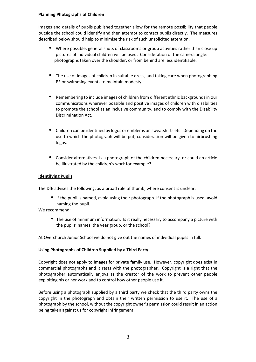## **Planning Photographs of Children**

Images and details of pupils published together allow for the remote possibility that people outside the school could identify and then attempt to contact pupils directly. The measures described below should help to minimise the risk of such unsolicited attention.

- Where possible, general shots of classrooms or group activities rather than close up pictures of individual children will be used. Consideration of the camera angle: photographs taken over the shoulder, or from behind are less identifiable.
- The use of images of children in suitable dress, and taking care when photographing PE or swimming events to maintain modesty.
- Remembering to include images of children from different ethnic backgrounds in our communications wherever possible and positive images of children with disabilities to promote the school as an inclusive community, and to comply with the Disability Discrimination Act.
- Children can be identified by logos or emblems on sweatshirts etc. Depending on the use to which the photograph will be put, consideration will be given to airbrushing logos.
- Consider alternatives. Is a photograph of the children necessary, or could an article be illustrated by the children's work for example?

# **Identifying Pupils**

The DfE advises the following, as a broad rule of thumb, where consent is unclear:

 If the pupil is named, avoid using their photograph. If the photograph is used, avoid naming the pupil.

We recommend:

 The use of minimum information. Is it really necessary to accompany a picture with the pupils' names, the year group, or the school?

At Overchurch Junior School we do not give out the names of individual pupils in full.

# **Using Photographs of Children Supplied by a Third Party**

Copyright does not apply to images for private family use. However, copyright does exist in commercial photographs and it rests with the photographer. Copyright is a right that the photographer automatically enjoys as the creator of the work to prevent other people exploiting his or her work and to control how other people use it.

Before using a photograph supplied by a third party we check that the third party owns the copyright in the photograph and obtain their written permission to use it. The use of a photograph by the school, without the copyright owner's permission could result in an action being taken against us for copyright infringement.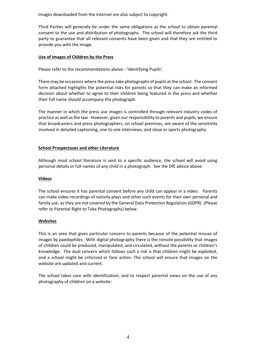Images downloaded from the Internet are also subject to copyright.

Third Parties will generally be under the same obligations as the school to obtain parental consent to the use and distribution of photographs. The school will therefore ask the third party to guarantee that all relevant consents have been given and that they are entitled to provide you with the image.

# **Use of Images of Children by the Press**

Please refer to the recommendations above - 'Identifying Pupils'.

There may be occasions where the press take photographs of pupils at the school. The consent form attached highlights the potential risks for parents so that they can make an informed decision about whether to agree to their children being featured in the press and whether their full name should accompany the photograph.

The manner in which the press use images is controlled through relevant industry codes of practice as well as the law. However, given our responsibility to parents and pupils, we ensure that broadcasters and press photographers, on school premises, are aware of the sensitivity involved in detailed captioning, one to one interviews, and close or sports photography.

## **School Prospectuses and other Literature**

Although most school literature is sent to a specific audience, the school will avoid using personal details or full names of any child in a photograph. See the DfE advice above.

#### **Videos**

The school ensures it has parental consent before any child can appear in a video. Parents can make video recordings of nativity plays and other such events for their own personal and family use, as they are not covered by the General Data Protection Regulation (GDPR). (Please refer to Parental Right to Take Photographs) below.

#### **Websites**

This is an area that gives particular concern to parents because of the potential misuse of images by paedophiles. With digital photography there is the remote possibility that images of children could be produced, manipulated, and circulated, without the parents or children's knowledge. The dual concern which follows such a risk is that children might be exploited, and a school might be criticised or face action. The school will ensure that images on the website are updated and current.

The school takes care with identification, and to respect parental views on the use of any photography of children on a website.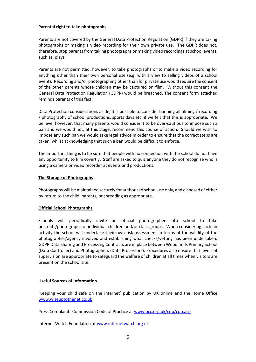#### **Parental right to take photographs**

Parents are not covered by the General Data Protection Regulation (GDPR) if they are taking photographs or making a video recording for their own private use. The GDPR does not, therefore, stop parents from taking photographs or making video recordings at school events, such as plays*.* 

Parents are not permitted, however, to take photographs or to make a video recording for anything other than their own personal use (e.g. with a view to selling videos of a school event). Recording and/or photographing other than for private use would require the consent of the other parents whose children may be captured on film. Without this consent the General Data Protection Regulation (GDPR) would be breached. The consent form attached reminds parents of this fact.

Data Protection considerations aside, it is possible to consider banning all filming / recording / photography of school productions, sports days etc. if we felt that this is appropriate. We believe, however, that many parents would consider it to be over-cautious to impose such a ban and we would not, at this stage, recommend this course of action. Should we wish to impose any such ban we would take legal advice in order to ensure that the correct steps are taken, whilst acknowledging that such a ban would be difficult to enforce.

The important thing is to be sure that people with no connection with the school do not have any opportunity to film covertly. Staff are asked to quiz anyone they do not recognise who is using a camera or video recorder at events and productions.

## **The Storage of Photographs**

Photographs will be maintained securely for authorised school use only, and disposed of either by return to the child, parents, or shredding as appropriate.

# **Official School Photographs**

Schools will periodically invite an official photographer into school to take portraits/photographs of individual children and/or class groups. When considering such an activity the school will undertake their own risk assessment in terms of the validity of the photographer/agency involved and establishing what checks/vetting has been undertaken. GDPR Data Sharing and Processing Contracts are in place between Woodlands Primary School (Data Controller) and Photographers (Data Processors). Procedures also ensure that levels of supervision are appropriate to safeguard the welfare of children at all times when visitors are present on the school site.

# **Useful Sources of Information**

'Keeping your child safe on the internet' publication by UK online and the Home Office www.wiseuptothenet.co.uk

Press Complaints Commission Code of Practice at www.pcc.org.uk/cop/cop.asp

Internet Watch Foundation at www.internetwatch.org.uk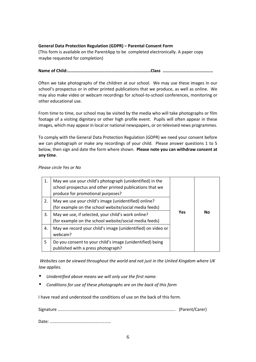# **General Data Protection Regulation (GDPR) – Parental Consent Form**

(This form is available on the ParentApp to be completed electronically. A paper copy maybe requested for completion)

**Name of Child:…………………………………………………..……………Class ………………………………………** 

Often we take photographs of the children at our school. We may use these images in our school's prospectus or in other printed publications that we produce, as well as online. We may also make video or webcam recordings for school-to-school conferences, monitoring or other educational use.

From time to time, our school may be visited by the media who will take photographs or film footage of a visiting dignitary or other high profile event. Pupils will often appear in these images, which may appear in local or national newspapers, or on televised news programmes.

To comply with the General Data Protection Regulation (GDPR) we need your consent before we can photograph or make any recordings of your child. Please answer questions 1 to 5 below, then sign and date the form where shown. **Please note you can withdraw consent at any time**.

| Please circle Yes or No |  |  |
|-------------------------|--|--|
|                         |  |  |

| 1. | May we use your child's photograph (unidentified) in the<br>school prospectus and other printed publications that we<br>produce for promotional purposes? |            |           |
|----|-----------------------------------------------------------------------------------------------------------------------------------------------------------|------------|-----------|
| 2. | May we use your child's image (unidentified) online?<br>(for example on the school website/social media feeds)                                            |            |           |
| 3. | May we use, if selected, your child's work online?<br>(for example on the school website/social media feeds)                                              | <b>Yes</b> | <b>No</b> |
| 4. | May we record your child's image (unidentified) on video or<br>webcam?                                                                                    |            |           |
| 5  | Do you consent to your child's image (unidentified) being<br>published with a press photograph?                                                           |            |           |

*Websites can be viewed throughout the world and not just in the United Kingdom where UK law applies.* 

- *Unidentified above means we will only use the first name.*
- *Conditions for use of these photographs are on the back of this form*

I have read and understood the conditions of use on the back of this form.

Signature ………………………………………………………………………………….……..…… (Parent/Carer)

Date: ………………………………………..………